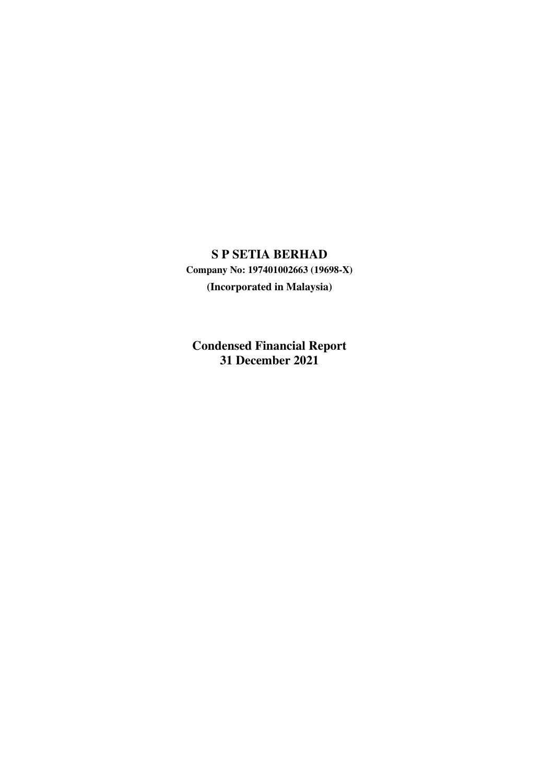# **S P SETIA BERHAD**

**Company No: 197401002663 (19698-X) (Incorporated in Malaysia)**

**Condensed Financial Report 31 December 2021**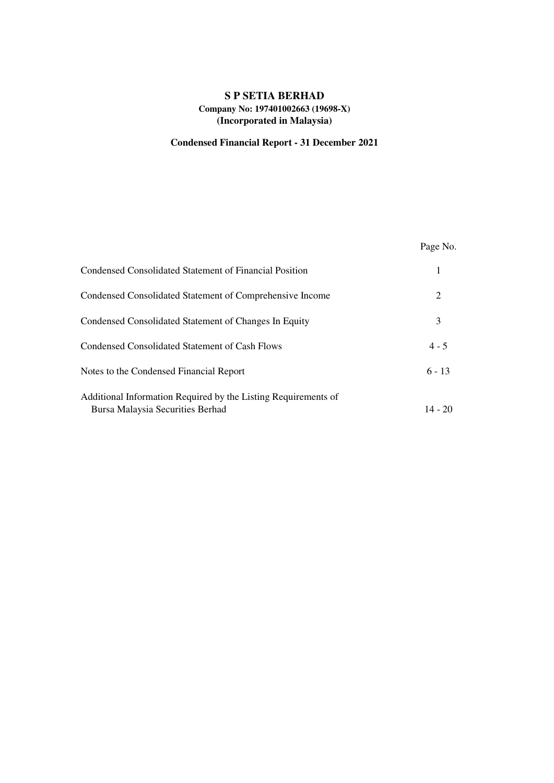# **S P SETIA BERHAD Company No: 197401002663 (19698-X) (Incorporated in Malaysia)**

# **Condensed Financial Report - 31 December 2021**

|                                                                                                    | Page No.  |
|----------------------------------------------------------------------------------------------------|-----------|
| Condensed Consolidated Statement of Financial Position                                             |           |
| Condensed Consolidated Statement of Comprehensive Income                                           | 2         |
| Condensed Consolidated Statement of Changes In Equity                                              | 3         |
| Condensed Consolidated Statement of Cash Flows                                                     | $4 - 5$   |
| Notes to the Condensed Financial Report                                                            | $6 - 13$  |
| Additional Information Required by the Listing Requirements of<br>Bursa Malaysia Securities Berhad | $14 - 20$ |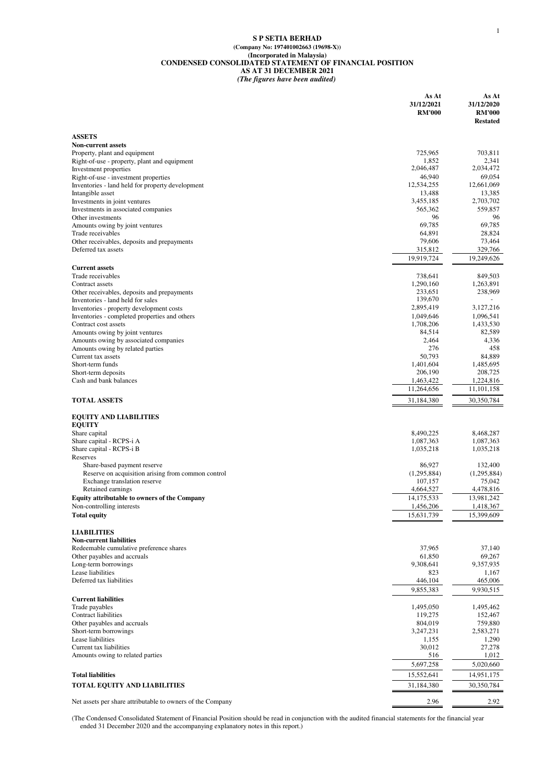#### **S P SETIA BERHAD (Company No: 197401002663 (19698-X)) (Incorporated in Malaysia) CONDENSED CONSOLIDATED STATEMENT OF FINANCIAL POSITION AS AT 31 DECEMBER 2021** *(The figures have been audited)*

|                                                                               | As At<br>31/12/2021<br><b>RM'000</b> | As At<br>31/12/2020<br><b>RM'000</b><br><b>Restated</b> |
|-------------------------------------------------------------------------------|--------------------------------------|---------------------------------------------------------|
| <b>ASSETS</b>                                                                 |                                      |                                                         |
| <b>Non-current assets</b>                                                     |                                      |                                                         |
| Property, plant and equipment                                                 | 725,965                              | 703,811                                                 |
| Right-of-use - property, plant and equipment                                  | 1,852<br>2,046,487                   | 2,341<br>2,034,472                                      |
| Investment properties<br>Right-of-use - investment properties                 | 46,940                               | 69,054                                                  |
| Inventories - land held for property development                              | 12,534,255                           | 12,661,069                                              |
| Intangible asset                                                              | 13,488                               | 13,385                                                  |
| Investments in joint ventures                                                 | 3,455,185                            | 2,703,702                                               |
| Investments in associated companies<br>Other investments                      | 565,362<br>96                        | 559,857<br>96                                           |
| Amounts owing by joint ventures                                               | 69,785                               | 69,785                                                  |
| Trade receivables                                                             | 64,891                               | 28,824                                                  |
| Other receivables, deposits and prepayments                                   | 79,606                               | 73,464                                                  |
| Deferred tax assets                                                           | 315,812<br>19,919,724                | 329,766<br>19,249,626                                   |
| <b>Current assets</b>                                                         |                                      |                                                         |
| Trade receivables                                                             | 738,641                              | 849,503                                                 |
| Contract assets                                                               | 1,290,160                            | 1,263,891                                               |
| Other receivables, deposits and prepayments                                   | 233,651<br>139,670                   | 238,969                                                 |
| Inventories - land held for sales<br>Inventories - property development costs | 2,895,419                            | 3,127,216                                               |
| Inventories - completed properties and others                                 | 1,049,646                            | 1,096,541                                               |
| Contract cost assets                                                          | 1,708,206                            | 1,433,530                                               |
| Amounts owing by joint ventures                                               | 84,514                               | 82,589                                                  |
| Amounts owing by associated companies<br>Amounts owing by related parties     | 2,464<br>276                         | 4,336<br>458                                            |
| Current tax assets                                                            | 50,793                               | 84,889                                                  |
| Short-term funds                                                              | 1,401,604                            | 1,485,695                                               |
| Short-term deposits                                                           | 206,190                              | 208,725                                                 |
| Cash and bank balances                                                        | 1,463,422<br>11,264,656              | 1,224,816<br>11,101,158                                 |
| <b>TOTAL ASSETS</b>                                                           | 31,184,380                           | 30,350,784                                              |
|                                                                               |                                      |                                                         |
| <b>EQUITY AND LIABILITIES</b><br><b>EQUITY</b>                                |                                      |                                                         |
| Share capital                                                                 | 8,490,225                            | 8,468,287                                               |
| Share capital - RCPS-i A                                                      | 1,087,363                            | 1,087,363                                               |
| Share capital - RCPS-i B                                                      | 1,035,218                            | 1,035,218                                               |
| Reserves<br>Share-based payment reserve                                       | 86,927                               | 132,400                                                 |
| Reserve on acquisition arising from common control                            | (1,295,884)                          | (1,295,884)                                             |
| Exchange translation reserve                                                  | 107,157                              | 75,042                                                  |
| Retained earnings                                                             | 4,664,527                            | 4,478,816                                               |
| <b>Equity attributable to owners of the Company</b>                           | 14,175,533                           | 13,981,242                                              |
| Non-controlling interests<br><b>Total equity</b>                              | 1,456,206<br>15,631,739              | 1,418,367<br>15,399,609                                 |
|                                                                               |                                      |                                                         |
| <b>LIABILITIES</b>                                                            |                                      |                                                         |
| <b>Non-current liabilities</b><br>Redeemable cumulative preference shares     | 37,965                               | 37,140                                                  |
| Other payables and accruals                                                   | 61,850                               | 69,267                                                  |
| Long-term borrowings                                                          | 9,308,641                            | 9,357,935                                               |
| Lease liabilities                                                             | 823                                  | 1,167                                                   |
| Deferred tax liabilities                                                      | 446,104                              | 465,006                                                 |
| <b>Current liabilities</b>                                                    | 9,855,383                            | 9,930,515                                               |
| Trade payables                                                                | 1,495,050                            | 1,495,462                                               |
| Contract liabilities                                                          | 119,275<br>804,019                   | 152,467<br>759,880                                      |
| Other payables and accruals<br>Short-term borrowings                          | 3,247,231                            | 2,583,271                                               |
| Lease liabilities                                                             | 1,155                                | 1,290                                                   |
| Current tax liabilities                                                       | 30,012                               | 27,278                                                  |
| Amounts owing to related parties                                              | 516                                  | 1,012                                                   |
| <b>Total liabilities</b>                                                      | 5,697,258<br>15,552,641              | 5,020,660<br>14,951,175                                 |
| <b>TOTAL EQUITY AND LIABILITIES</b>                                           | 31,184,380                           | 30,350,784                                              |
|                                                                               |                                      |                                                         |
| Net assets per share attributable to owners of the Company                    | 2.96                                 | 2.92                                                    |

(The Condensed Consolidated Statement of Financial Position should be read in conjunction with the audited financial statements for the financial year ended 31 December 2020 and the accompanying explanatory notes in this report.)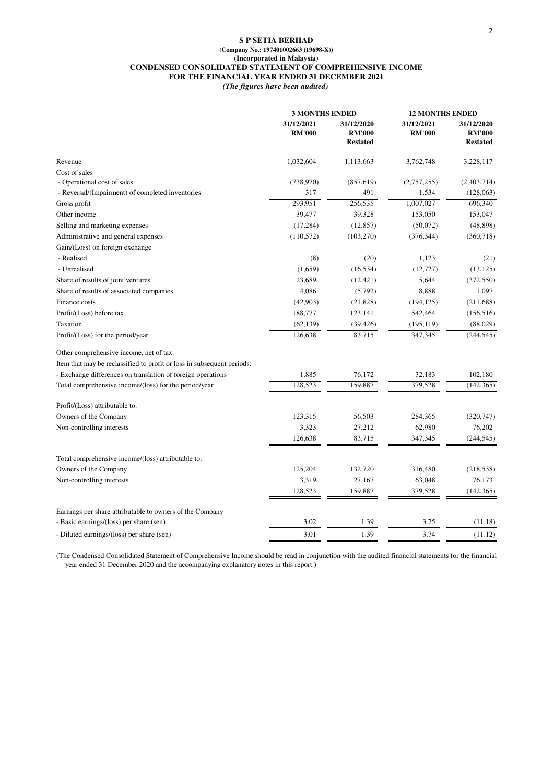#### **S P SETIA BERHAD (Company No.: 197401002663 (19698-X)) (Incorporated in Malaysia) CONDENSED CONSOLIDATED STATEMENT OF COMPREHENSIVE INCOME FOR THE FINANCIAL YEAR ENDED 31 DECEMBER 2021** *(The figures have been audited)*

| 31/12/2021<br>31/12/2021<br>31/12/2020<br>31/12/2020<br><b>RM'000</b><br><b>RM'000</b><br><b>RM'000</b><br><b>RM'000</b><br><b>Restated</b><br><b>Restated</b><br>Revenue<br>1,032,604<br>1,113,663<br>3,762,748<br>3,228,117<br>Cost of sales<br>- Operational cost of sales<br>(738,970)<br>(857, 619)<br>(2,757,255)<br>(2,403,714)<br>- Reversal/(Impairment) of completed inventories<br>317<br>491<br>1,534<br>293,951<br>256,535<br>1,007,027<br>696,340<br>Gross profit<br>Other income<br>39,477<br>39,328<br>153,050<br>153,047<br>Selling and marketing expenses<br>(12, 857)<br>(17, 284)<br>(50,072)<br>Administrative and general expenses<br>(110, 572)<br>(103, 270)<br>(376, 344)<br>(360, 718)<br>Gain/(Loss) on foreign exchange<br>- Realised<br>(8)<br>(20)<br>1,123<br>(21)<br>- Unrealised<br>(1,659)<br>(16, 534)<br>(12, 727)<br>Share of results of joint ventures<br>23,689<br>(12, 421)<br>5,644<br>(372, 550)<br>Share of results of associated companies<br>4,086<br>(5,792)<br>8,888<br>1,097<br>Finance costs<br>(42,903)<br>(21, 828)<br>(194, 125)<br>(211, 688)<br>188,777<br>123,141<br>542,464<br>Profit/(Loss) before tax<br>Taxation<br>(62, 139)<br>(39, 426)<br>(195, 119)<br>(88,029)<br>126,638<br>83,715<br>347,345<br>Profit/(Loss) for the period/year<br>Other comprehensive income, net of tax:<br>Item that may be reclassified to profit or loss in subsequent periods:<br>- Exchange differences on translation of foreign operations<br>1,885<br>76,172<br>32,183<br>102,180<br>128,523<br>159,887<br>379,528<br>(142, 365)<br>Total comprehensive income/(loss) for the period/year<br>Profit/(Loss) attributable to:<br>Owners of the Company<br>123,315<br>56,503<br>284,365<br>(320, 747)<br>27,212<br>Non-controlling interests<br>3,323<br>62,980<br>76,202<br>126,638<br>83,715<br>347,345<br>Total comprehensive income/(loss) attributable to:<br>Owners of the Company<br>125,204<br>132,720<br>316,480<br>(218, 538)<br>Non-controlling interests<br>3,319<br>27,167<br>63,048<br>76,173<br>128,523<br>159,887<br>379,528<br>(142, 365)<br>Earnings per share attributable to owners of the Company<br>- Basic earnings/(loss) per share (sen)<br>3.02<br>1.39<br>3.75<br>(11.18)<br>- Diluted earnings/(loss) per share (sen)<br>3.01<br>1.39<br>3.74 | <b>3 MONTHS ENDED</b> | <b>12 MONTHS ENDED</b> |            |  |
|-----------------------------------------------------------------------------------------------------------------------------------------------------------------------------------------------------------------------------------------------------------------------------------------------------------------------------------------------------------------------------------------------------------------------------------------------------------------------------------------------------------------------------------------------------------------------------------------------------------------------------------------------------------------------------------------------------------------------------------------------------------------------------------------------------------------------------------------------------------------------------------------------------------------------------------------------------------------------------------------------------------------------------------------------------------------------------------------------------------------------------------------------------------------------------------------------------------------------------------------------------------------------------------------------------------------------------------------------------------------------------------------------------------------------------------------------------------------------------------------------------------------------------------------------------------------------------------------------------------------------------------------------------------------------------------------------------------------------------------------------------------------------------------------------------------------------------------------------------------------------------------------------------------------------------------------------------------------------------------------------------------------------------------------------------------------------------------------------------------------------------------------------------------------------------------------------------------------------------------------------------------------------------------------------------------------------|-----------------------|------------------------|------------|--|
|                                                                                                                                                                                                                                                                                                                                                                                                                                                                                                                                                                                                                                                                                                                                                                                                                                                                                                                                                                                                                                                                                                                                                                                                                                                                                                                                                                                                                                                                                                                                                                                                                                                                                                                                                                                                                                                                                                                                                                                                                                                                                                                                                                                                                                                                                                                       |                       |                        |            |  |
|                                                                                                                                                                                                                                                                                                                                                                                                                                                                                                                                                                                                                                                                                                                                                                                                                                                                                                                                                                                                                                                                                                                                                                                                                                                                                                                                                                                                                                                                                                                                                                                                                                                                                                                                                                                                                                                                                                                                                                                                                                                                                                                                                                                                                                                                                                                       |                       |                        |            |  |
|                                                                                                                                                                                                                                                                                                                                                                                                                                                                                                                                                                                                                                                                                                                                                                                                                                                                                                                                                                                                                                                                                                                                                                                                                                                                                                                                                                                                                                                                                                                                                                                                                                                                                                                                                                                                                                                                                                                                                                                                                                                                                                                                                                                                                                                                                                                       |                       |                        |            |  |
|                                                                                                                                                                                                                                                                                                                                                                                                                                                                                                                                                                                                                                                                                                                                                                                                                                                                                                                                                                                                                                                                                                                                                                                                                                                                                                                                                                                                                                                                                                                                                                                                                                                                                                                                                                                                                                                                                                                                                                                                                                                                                                                                                                                                                                                                                                                       |                       |                        |            |  |
|                                                                                                                                                                                                                                                                                                                                                                                                                                                                                                                                                                                                                                                                                                                                                                                                                                                                                                                                                                                                                                                                                                                                                                                                                                                                                                                                                                                                                                                                                                                                                                                                                                                                                                                                                                                                                                                                                                                                                                                                                                                                                                                                                                                                                                                                                                                       |                       |                        | (128,063)  |  |
|                                                                                                                                                                                                                                                                                                                                                                                                                                                                                                                                                                                                                                                                                                                                                                                                                                                                                                                                                                                                                                                                                                                                                                                                                                                                                                                                                                                                                                                                                                                                                                                                                                                                                                                                                                                                                                                                                                                                                                                                                                                                                                                                                                                                                                                                                                                       |                       |                        |            |  |
|                                                                                                                                                                                                                                                                                                                                                                                                                                                                                                                                                                                                                                                                                                                                                                                                                                                                                                                                                                                                                                                                                                                                                                                                                                                                                                                                                                                                                                                                                                                                                                                                                                                                                                                                                                                                                                                                                                                                                                                                                                                                                                                                                                                                                                                                                                                       |                       |                        |            |  |
|                                                                                                                                                                                                                                                                                                                                                                                                                                                                                                                                                                                                                                                                                                                                                                                                                                                                                                                                                                                                                                                                                                                                                                                                                                                                                                                                                                                                                                                                                                                                                                                                                                                                                                                                                                                                                                                                                                                                                                                                                                                                                                                                                                                                                                                                                                                       |                       |                        | (48, 898)  |  |
|                                                                                                                                                                                                                                                                                                                                                                                                                                                                                                                                                                                                                                                                                                                                                                                                                                                                                                                                                                                                                                                                                                                                                                                                                                                                                                                                                                                                                                                                                                                                                                                                                                                                                                                                                                                                                                                                                                                                                                                                                                                                                                                                                                                                                                                                                                                       |                       |                        |            |  |
|                                                                                                                                                                                                                                                                                                                                                                                                                                                                                                                                                                                                                                                                                                                                                                                                                                                                                                                                                                                                                                                                                                                                                                                                                                                                                                                                                                                                                                                                                                                                                                                                                                                                                                                                                                                                                                                                                                                                                                                                                                                                                                                                                                                                                                                                                                                       |                       |                        |            |  |
|                                                                                                                                                                                                                                                                                                                                                                                                                                                                                                                                                                                                                                                                                                                                                                                                                                                                                                                                                                                                                                                                                                                                                                                                                                                                                                                                                                                                                                                                                                                                                                                                                                                                                                                                                                                                                                                                                                                                                                                                                                                                                                                                                                                                                                                                                                                       |                       |                        |            |  |
|                                                                                                                                                                                                                                                                                                                                                                                                                                                                                                                                                                                                                                                                                                                                                                                                                                                                                                                                                                                                                                                                                                                                                                                                                                                                                                                                                                                                                                                                                                                                                                                                                                                                                                                                                                                                                                                                                                                                                                                                                                                                                                                                                                                                                                                                                                                       |                       |                        | (13, 125)  |  |
|                                                                                                                                                                                                                                                                                                                                                                                                                                                                                                                                                                                                                                                                                                                                                                                                                                                                                                                                                                                                                                                                                                                                                                                                                                                                                                                                                                                                                                                                                                                                                                                                                                                                                                                                                                                                                                                                                                                                                                                                                                                                                                                                                                                                                                                                                                                       |                       |                        |            |  |
|                                                                                                                                                                                                                                                                                                                                                                                                                                                                                                                                                                                                                                                                                                                                                                                                                                                                                                                                                                                                                                                                                                                                                                                                                                                                                                                                                                                                                                                                                                                                                                                                                                                                                                                                                                                                                                                                                                                                                                                                                                                                                                                                                                                                                                                                                                                       |                       |                        |            |  |
|                                                                                                                                                                                                                                                                                                                                                                                                                                                                                                                                                                                                                                                                                                                                                                                                                                                                                                                                                                                                                                                                                                                                                                                                                                                                                                                                                                                                                                                                                                                                                                                                                                                                                                                                                                                                                                                                                                                                                                                                                                                                                                                                                                                                                                                                                                                       |                       |                        |            |  |
|                                                                                                                                                                                                                                                                                                                                                                                                                                                                                                                                                                                                                                                                                                                                                                                                                                                                                                                                                                                                                                                                                                                                                                                                                                                                                                                                                                                                                                                                                                                                                                                                                                                                                                                                                                                                                                                                                                                                                                                                                                                                                                                                                                                                                                                                                                                       |                       |                        | (156, 516) |  |
|                                                                                                                                                                                                                                                                                                                                                                                                                                                                                                                                                                                                                                                                                                                                                                                                                                                                                                                                                                                                                                                                                                                                                                                                                                                                                                                                                                                                                                                                                                                                                                                                                                                                                                                                                                                                                                                                                                                                                                                                                                                                                                                                                                                                                                                                                                                       |                       |                        |            |  |
|                                                                                                                                                                                                                                                                                                                                                                                                                                                                                                                                                                                                                                                                                                                                                                                                                                                                                                                                                                                                                                                                                                                                                                                                                                                                                                                                                                                                                                                                                                                                                                                                                                                                                                                                                                                                                                                                                                                                                                                                                                                                                                                                                                                                                                                                                                                       |                       |                        | (244, 545) |  |
|                                                                                                                                                                                                                                                                                                                                                                                                                                                                                                                                                                                                                                                                                                                                                                                                                                                                                                                                                                                                                                                                                                                                                                                                                                                                                                                                                                                                                                                                                                                                                                                                                                                                                                                                                                                                                                                                                                                                                                                                                                                                                                                                                                                                                                                                                                                       |                       |                        |            |  |
|                                                                                                                                                                                                                                                                                                                                                                                                                                                                                                                                                                                                                                                                                                                                                                                                                                                                                                                                                                                                                                                                                                                                                                                                                                                                                                                                                                                                                                                                                                                                                                                                                                                                                                                                                                                                                                                                                                                                                                                                                                                                                                                                                                                                                                                                                                                       |                       |                        |            |  |
|                                                                                                                                                                                                                                                                                                                                                                                                                                                                                                                                                                                                                                                                                                                                                                                                                                                                                                                                                                                                                                                                                                                                                                                                                                                                                                                                                                                                                                                                                                                                                                                                                                                                                                                                                                                                                                                                                                                                                                                                                                                                                                                                                                                                                                                                                                                       |                       |                        |            |  |
|                                                                                                                                                                                                                                                                                                                                                                                                                                                                                                                                                                                                                                                                                                                                                                                                                                                                                                                                                                                                                                                                                                                                                                                                                                                                                                                                                                                                                                                                                                                                                                                                                                                                                                                                                                                                                                                                                                                                                                                                                                                                                                                                                                                                                                                                                                                       |                       |                        |            |  |
|                                                                                                                                                                                                                                                                                                                                                                                                                                                                                                                                                                                                                                                                                                                                                                                                                                                                                                                                                                                                                                                                                                                                                                                                                                                                                                                                                                                                                                                                                                                                                                                                                                                                                                                                                                                                                                                                                                                                                                                                                                                                                                                                                                                                                                                                                                                       |                       |                        |            |  |
|                                                                                                                                                                                                                                                                                                                                                                                                                                                                                                                                                                                                                                                                                                                                                                                                                                                                                                                                                                                                                                                                                                                                                                                                                                                                                                                                                                                                                                                                                                                                                                                                                                                                                                                                                                                                                                                                                                                                                                                                                                                                                                                                                                                                                                                                                                                       |                       |                        |            |  |
|                                                                                                                                                                                                                                                                                                                                                                                                                                                                                                                                                                                                                                                                                                                                                                                                                                                                                                                                                                                                                                                                                                                                                                                                                                                                                                                                                                                                                                                                                                                                                                                                                                                                                                                                                                                                                                                                                                                                                                                                                                                                                                                                                                                                                                                                                                                       |                       |                        |            |  |
|                                                                                                                                                                                                                                                                                                                                                                                                                                                                                                                                                                                                                                                                                                                                                                                                                                                                                                                                                                                                                                                                                                                                                                                                                                                                                                                                                                                                                                                                                                                                                                                                                                                                                                                                                                                                                                                                                                                                                                                                                                                                                                                                                                                                                                                                                                                       |                       |                        | (244, 545) |  |
|                                                                                                                                                                                                                                                                                                                                                                                                                                                                                                                                                                                                                                                                                                                                                                                                                                                                                                                                                                                                                                                                                                                                                                                                                                                                                                                                                                                                                                                                                                                                                                                                                                                                                                                                                                                                                                                                                                                                                                                                                                                                                                                                                                                                                                                                                                                       |                       |                        |            |  |
|                                                                                                                                                                                                                                                                                                                                                                                                                                                                                                                                                                                                                                                                                                                                                                                                                                                                                                                                                                                                                                                                                                                                                                                                                                                                                                                                                                                                                                                                                                                                                                                                                                                                                                                                                                                                                                                                                                                                                                                                                                                                                                                                                                                                                                                                                                                       |                       |                        |            |  |
|                                                                                                                                                                                                                                                                                                                                                                                                                                                                                                                                                                                                                                                                                                                                                                                                                                                                                                                                                                                                                                                                                                                                                                                                                                                                                                                                                                                                                                                                                                                                                                                                                                                                                                                                                                                                                                                                                                                                                                                                                                                                                                                                                                                                                                                                                                                       |                       |                        |            |  |
|                                                                                                                                                                                                                                                                                                                                                                                                                                                                                                                                                                                                                                                                                                                                                                                                                                                                                                                                                                                                                                                                                                                                                                                                                                                                                                                                                                                                                                                                                                                                                                                                                                                                                                                                                                                                                                                                                                                                                                                                                                                                                                                                                                                                                                                                                                                       |                       |                        |            |  |
|                                                                                                                                                                                                                                                                                                                                                                                                                                                                                                                                                                                                                                                                                                                                                                                                                                                                                                                                                                                                                                                                                                                                                                                                                                                                                                                                                                                                                                                                                                                                                                                                                                                                                                                                                                                                                                                                                                                                                                                                                                                                                                                                                                                                                                                                                                                       |                       |                        |            |  |
|                                                                                                                                                                                                                                                                                                                                                                                                                                                                                                                                                                                                                                                                                                                                                                                                                                                                                                                                                                                                                                                                                                                                                                                                                                                                                                                                                                                                                                                                                                                                                                                                                                                                                                                                                                                                                                                                                                                                                                                                                                                                                                                                                                                                                                                                                                                       |                       |                        |            |  |
|                                                                                                                                                                                                                                                                                                                                                                                                                                                                                                                                                                                                                                                                                                                                                                                                                                                                                                                                                                                                                                                                                                                                                                                                                                                                                                                                                                                                                                                                                                                                                                                                                                                                                                                                                                                                                                                                                                                                                                                                                                                                                                                                                                                                                                                                                                                       |                       |                        | (11.12)    |  |

(The Condensed Consolidated Statement of Comprehensive Income should be read in conjunction with the audited financial statements for the financial year ended 31 December 2020 and the accompanying explanatory notes in this report.)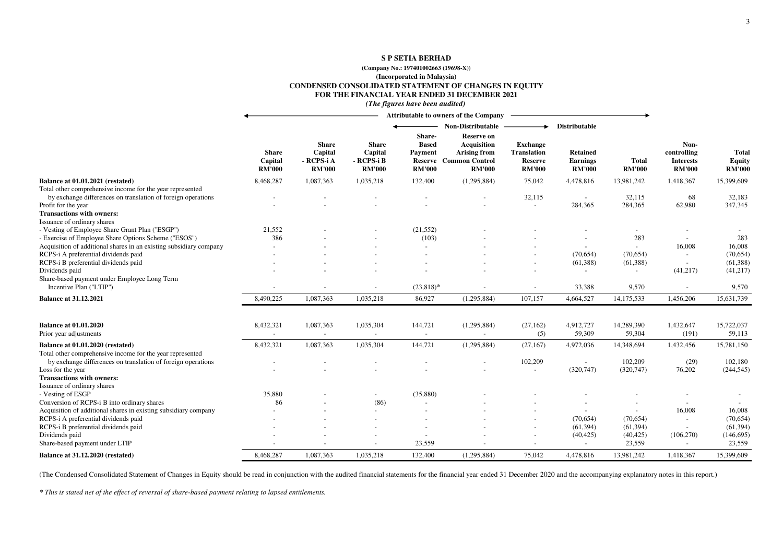#### **S P SETIA BERHAD**

#### **(Company No.: 197401002663 (19698-X))**

**(Incorporated in Malaysia)**

**CONDENSED CONSOLIDATED STATEMENT OF CHANGES IN EQUITY**

**FOR THE FINANCIAL YEAR ENDED 31 DECEMBER 2021**

*(The figures have been audited)*

|                                                                                                                                                  |                                          |                                                        |                                                        |                                                            | <b>Attributable to owners of the Company</b>                          |                                                                          |                                                     |                               |                                                          |                                  |
|--------------------------------------------------------------------------------------------------------------------------------------------------|------------------------------------------|--------------------------------------------------------|--------------------------------------------------------|------------------------------------------------------------|-----------------------------------------------------------------------|--------------------------------------------------------------------------|-----------------------------------------------------|-------------------------------|----------------------------------------------------------|----------------------------------|
|                                                                                                                                                  |                                          |                                                        |                                                        | Share-                                                     | <b>Non-Distributable</b><br><b>Reserve on</b>                         |                                                                          | Distributable                                       |                               |                                                          |                                  |
|                                                                                                                                                  | <b>Share</b><br>Capital<br><b>RM'000</b> | <b>Share</b><br>Capital<br>- RCPS-i A<br><b>RM'000</b> | <b>Share</b><br>Capital<br>- RCPS-i B<br><b>RM'000</b> | <b>Based</b><br>Payment<br><b>Reserve</b><br><b>RM'000</b> | Acquisition<br>Arising from<br><b>Common Control</b><br><b>RM'000</b> | <b>Exchange</b><br><b>Translation</b><br><b>Reserve</b><br><b>RM'000</b> | <b>Retained</b><br><b>Earnings</b><br><b>RM'000</b> | <b>Total</b><br><b>RM'000</b> | Non-<br>controlling<br><b>Interests</b><br><b>RM'000</b> | Total<br>Equity<br><b>RM'000</b> |
| Balance at 01.01.2021 (restated)                                                                                                                 | 8,468,287                                | 1,087,363                                              | 1,035,218                                              | 132,400                                                    | (1,295,884)                                                           | 75,042                                                                   | 4,478,816                                           | 13,981,242                    | 1,418,367                                                | 15,399,609                       |
| Total other comprehensive income for the year represented<br>by exchange differences on translation of foreign operations<br>Profit for the year |                                          |                                                        |                                                        |                                                            |                                                                       | 32,115                                                                   | $\overline{\phantom{a}}$<br>284,365                 | 32,115<br>284,365             | 68<br>62,980                                             | 32,183<br>347,345                |
| <b>Transactions with owners:</b>                                                                                                                 |                                          |                                                        |                                                        |                                                            |                                                                       |                                                                          |                                                     |                               |                                                          |                                  |
| Issuance of ordinary shares<br>- Vesting of Employee Share Grant Plan ("ESGP")                                                                   | 21,552                                   |                                                        |                                                        | (21, 552)                                                  |                                                                       |                                                                          |                                                     | $\sim$                        |                                                          |                                  |
| - Exercise of Employee Share Options Scheme ("ESOS")                                                                                             | 386                                      |                                                        |                                                        | (103)                                                      |                                                                       |                                                                          |                                                     | 283                           |                                                          | 283                              |
| Acquisition of additional shares in an existing subsidiary company<br>RCPS-i A preferential dividends paid                                       |                                          |                                                        |                                                        |                                                            |                                                                       |                                                                          | (70, 654)                                           | $\sim$<br>(70,654)            | 16,008<br>$\blacksquare$                                 | 16,008<br>(70, 654)              |
| RCPS-i B preferential dividends paid                                                                                                             |                                          |                                                        |                                                        |                                                            |                                                                       |                                                                          | (61, 388)                                           | (61, 388)                     | $\blacksquare$                                           | (61, 388)                        |
| Dividends paid                                                                                                                                   |                                          |                                                        |                                                        |                                                            |                                                                       |                                                                          |                                                     | $\overline{\phantom{a}}$      | (41,217)                                                 | (41, 217)                        |
| Share-based payment under Employee Long Term<br>Incentive Plan ("LTIP")                                                                          |                                          |                                                        |                                                        | $(23,818)*$                                                |                                                                       |                                                                          | 33,388                                              | 9,570                         | $\blacksquare$                                           | 9,570                            |
| <b>Balance at 31.12.2021</b>                                                                                                                     | 8,490,225                                | 1,087,363                                              | 1,035,218                                              | 86,927                                                     | (1,295,884)                                                           | 107,157                                                                  | 4,664,527                                           | 14,175,533                    | 1,456,206                                                | 15,631,739                       |
| <b>Balance at 01.01.2020</b>                                                                                                                     | 8,432,321                                | 1,087,363                                              | 1,035,304                                              | 144,721                                                    | (1,295,884)                                                           | (27, 162)                                                                | 4,912,727                                           | 14,289,390                    | 1,432,647                                                | 15,722,037                       |
| Prior year adjustments                                                                                                                           |                                          | $\blacksquare$                                         | $\sim$                                                 |                                                            | ÷,                                                                    | (5)                                                                      | 59,309                                              | 59,304                        | (191)                                                    | 59,113                           |
| Balance at 01.01.2020 (restated)<br>Total other comprehensive income for the year represented                                                    | 8,432,321                                | 1,087,363                                              | 1,035,304                                              | 144,721                                                    | (1,295,884)                                                           | (27, 167)                                                                | 4,972,036                                           | 14,348,694                    | 1,432,456                                                | 15,781,150                       |
| by exchange differences on translation of foreign operations                                                                                     |                                          |                                                        |                                                        |                                                            |                                                                       | 102,209                                                                  |                                                     | 102,209                       | (29)                                                     | 102,180                          |
| Loss for the year                                                                                                                                |                                          |                                                        |                                                        |                                                            |                                                                       | $\blacksquare$                                                           | (320, 747)                                          | (320, 747)                    | 76,202                                                   | (244, 545)                       |
| <b>Transactions with owners:</b>                                                                                                                 |                                          |                                                        |                                                        |                                                            |                                                                       |                                                                          |                                                     |                               |                                                          |                                  |
| Issuance of ordinary shares<br>- Vesting of ESGP                                                                                                 | 35,880                                   |                                                        |                                                        | (35,880)                                                   |                                                                       |                                                                          |                                                     |                               |                                                          |                                  |
| Conversion of RCPS-i B into ordinary shares                                                                                                      | 86                                       |                                                        | (86)                                                   |                                                            |                                                                       |                                                                          |                                                     | $\overline{\phantom{a}}$      |                                                          |                                  |
| Acquisition of additional shares in existing subsidiary company                                                                                  |                                          |                                                        |                                                        |                                                            |                                                                       |                                                                          |                                                     |                               | 16,008                                                   | 16,008                           |
| RCPS-i A preferential dividends paid                                                                                                             |                                          |                                                        |                                                        |                                                            |                                                                       |                                                                          | (70, 654)                                           | (70,654)                      | $\blacksquare$                                           | (70, 654)                        |
| RCPS-i B preferential dividends paid                                                                                                             |                                          |                                                        |                                                        |                                                            |                                                                       |                                                                          | (61, 394)                                           | (61, 394)                     | $\sim$                                                   | (61, 394)                        |
| Dividends paid                                                                                                                                   |                                          |                                                        |                                                        |                                                            |                                                                       |                                                                          | (40, 425)                                           | (40, 425)                     | (106, 270)                                               | (146, 695)                       |
| Share-based payment under LTIP                                                                                                                   |                                          |                                                        |                                                        | 23,559                                                     |                                                                       |                                                                          |                                                     | 23,559                        | $\sim$                                                   | 23,559                           |
| Balance at 31.12.2020 (restated)                                                                                                                 | 8,468,287                                | 1.087.363                                              | 1,035,218                                              | 132,400                                                    | (1,295,884)                                                           | 75,042                                                                   | 4,478,816                                           | 13,981,242                    | 1,418,367                                                | 15,399,609                       |

(The Condensed Consolidated Statement of Changes in Equity should be read in conjunction with the audited financial statements for the financial year ended 31 December 2020 and the accompanying explanatory notes in this re

*\* This is stated net of the effect of reversal of share-based payment relating to lapsed entitlements.*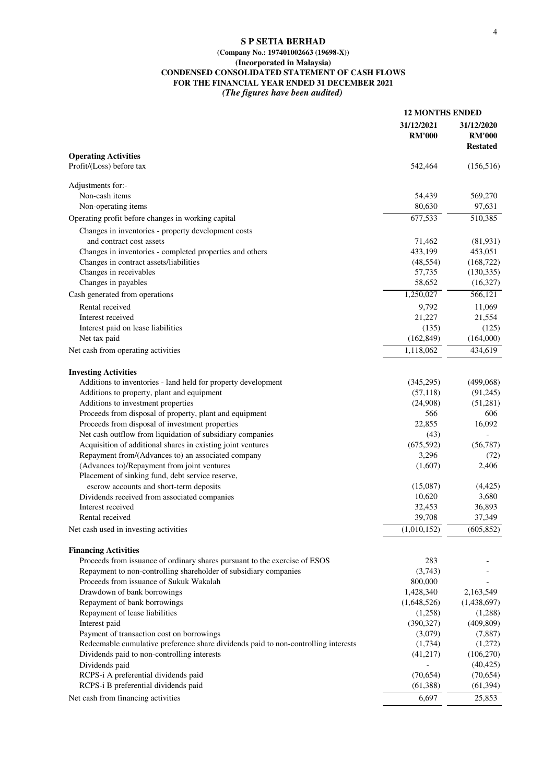#### **S P SETIA BERHAD**

#### **(Company No.: 197401002663 (19698-X)) (Incorporated in Malaysia) CONDENSED CONSOLIDATED STATEMENT OF CASH FLOWS FOR THE FINANCIAL YEAR ENDED 31 DECEMBER 2021** *(The figures have been audited)*

|                                                                                    | <b>12 MONTHS ENDED</b>      |                                                |
|------------------------------------------------------------------------------------|-----------------------------|------------------------------------------------|
|                                                                                    | 31/12/2021<br><b>RM'000</b> | 31/12/2020<br><b>RM'000</b><br><b>Restated</b> |
| <b>Operating Activities</b>                                                        |                             |                                                |
| Profit/(Loss) before tax                                                           | 542,464                     | (156, 516)                                     |
| Adjustments for:-                                                                  |                             |                                                |
| Non-cash items                                                                     | 54,439                      | 569,270                                        |
| Non-operating items                                                                | 80,630                      | 97,631                                         |
| Operating profit before changes in working capital                                 | 677,533                     | 510,385                                        |
| Changes in inventories - property development costs                                |                             |                                                |
| and contract cost assets                                                           | 71,462                      | (81,931)                                       |
| Changes in inventories - completed properties and others                           | 433,199                     | 453,051                                        |
| Changes in contract assets/liabilities                                             | (48, 554)                   | (168, 722)                                     |
| Changes in receivables                                                             | 57,735                      | (130, 335)                                     |
| Changes in payables                                                                | 58,652                      | (16,327)                                       |
| Cash generated from operations                                                     | 1,250,027                   | 566,121                                        |
| Rental received                                                                    | 9,792                       | 11,069                                         |
| Interest received                                                                  | 21,227                      | 21,554                                         |
| Interest paid on lease liabilities                                                 | (135)                       | (125)                                          |
| Net tax paid                                                                       | (162, 849)                  | (164,000)                                      |
| Net cash from operating activities                                                 | 1,118,062                   | 434,619                                        |
| <b>Investing Activities</b>                                                        |                             |                                                |
| Additions to inventories - land held for property development                      | (345,295)                   | (499,068)                                      |
| Additions to property, plant and equipment                                         | (57, 118)                   | (91,245)                                       |
| Additions to investment properties                                                 | (24,908)                    | (51,281)                                       |
| Proceeds from disposal of property, plant and equipment                            | 566                         | 606                                            |
| Proceeds from disposal of investment properties                                    | 22,855                      | 16,092                                         |
| Net cash outflow from liquidation of subsidiary companies                          | (43)                        |                                                |
| Acquisition of additional shares in existing joint ventures                        | (675, 592)                  | (56, 787)                                      |
| Repayment from/(Advances to) an associated company                                 | 3,296                       | (72)                                           |
| (Advances to)/Repayment from joint ventures                                        | (1,607)                     | 2,406                                          |
| Placement of sinking fund, debt service reserve,                                   |                             |                                                |
| escrow accounts and short-term deposits                                            | (15,087)                    | (4, 425)                                       |
| Dividends received from associated companies                                       | 10,620                      | 3,680                                          |
| Interest received                                                                  | 32,453                      | 36,893                                         |
| Rental received                                                                    | 39,708                      | 37,349                                         |
| Net cash used in investing activities                                              | (1,010,152)                 | (605, 852)                                     |
| <b>Financing Activities</b>                                                        |                             |                                                |
| Proceeds from issuance of ordinary shares pursuant to the exercise of ESOS         | 283                         |                                                |
| Repayment to non-controlling shareholder of subsidiary companies                   | (3,743)                     |                                                |
| Proceeds from issuance of Sukuk Wakalah                                            | 800,000                     |                                                |
| Drawdown of bank borrowings                                                        | 1,428,340                   | 2,163,549                                      |
| Repayment of bank borrowings                                                       | (1,648,526)                 | (1,438,697)                                    |
| Repayment of lease liabilities                                                     | (1,258)                     | (1,288)                                        |
| Interest paid                                                                      | (390, 327)                  | (409, 809)                                     |
| Payment of transaction cost on borrowings                                          | (3,079)                     | (7,887)                                        |
| Redeemable cumulative preference share dividends paid to non-controlling interests | (1,734)                     | (1,272)                                        |
| Dividends paid to non-controlling interests                                        | (41, 217)                   | (106, 270)                                     |
| Dividends paid                                                                     |                             | (40, 425)                                      |
| RCPS-i A preferential dividends paid                                               | (70,654)                    | (70,654)                                       |
| RCPS-i B preferential dividends paid                                               | (61,388)                    | (61, 394)                                      |
| Net cash from financing activities                                                 | 6,697                       | 25,853                                         |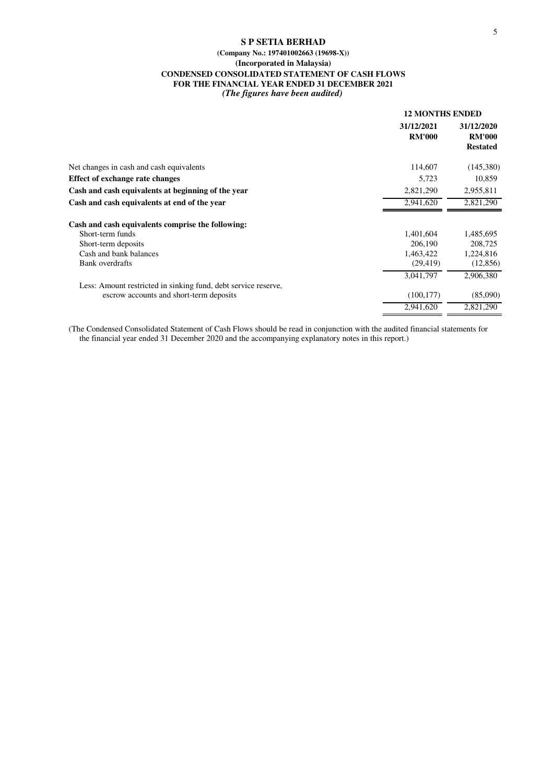#### **S P SETIA BERHAD (Company No.: 197401002663 (19698-X)) (Incorporated in Malaysia) CONDENSED CONSOLIDATED STATEMENT OF CASH FLOWS FOR THE FINANCIAL YEAR ENDED 31 DECEMBER 2021** *(The figures have been audited)*

|                                                                | <b>12 MONTHS ENDED</b>      |                                                |  |
|----------------------------------------------------------------|-----------------------------|------------------------------------------------|--|
|                                                                | 31/12/2021<br><b>RM'000</b> | 31/12/2020<br><b>RM'000</b><br><b>Restated</b> |  |
| Net changes in cash and cash equivalents                       | 114,607                     | (145,380)                                      |  |
| <b>Effect of exchange rate changes</b>                         | 5,723                       | 10,859                                         |  |
| Cash and cash equivalents at beginning of the year             | 2,821,290                   | 2,955,811                                      |  |
| Cash and cash equivalents at end of the year                   | 2.941.620                   | 2,821,290                                      |  |
| Cash and cash equivalents comprise the following:              |                             |                                                |  |
| Short-term funds                                               | 1,401,604                   | 1,485,695                                      |  |
| Short-term deposits                                            | 206,190                     | 208,725                                        |  |
| Cash and bank balances                                         | 1,463,422                   | 1,224,816                                      |  |
| <b>Bank</b> overdrafts                                         | (29, 419)                   | (12, 856)                                      |  |
|                                                                | 3,041,797                   | 2,906,380                                      |  |
| Less: Amount restricted in sinking fund, debt service reserve, |                             |                                                |  |
| escrow accounts and short-term deposits                        | (100, 177)                  | (85,090)                                       |  |
|                                                                | 2,941,620                   | 2,821,290                                      |  |

(The Condensed Consolidated Statement of Cash Flows should be read in conjunction with the audited financial statements for the financial year ended 31 December 2020 and the accompanying explanatory notes in this report.)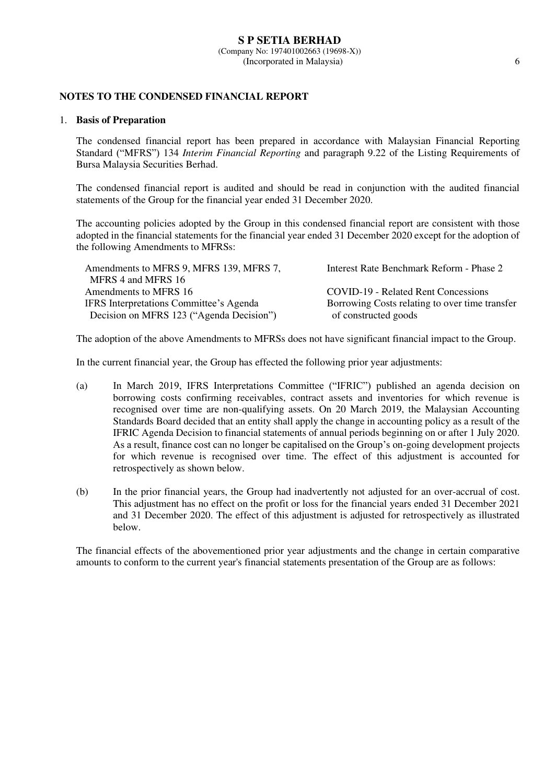#### **S P SETIA BERHAD** (Company No: 197401002663 (19698-X)) (Incorporated in Malaysia) 6

## **NOTES TO THE CONDENSED FINANCIAL REPORT**

#### 1. **Basis of Preparation**

 The condensed financial report has been prepared in accordance with Malaysian Financial Reporting Standard ("MFRS") 134 *Interim Financial Reporting* and paragraph 9.22 of the Listing Requirements of Bursa Malaysia Securities Berhad.

 The condensed financial report is audited and should be read in conjunction with the audited financial statements of the Group for the financial year ended 31 December 2020.

The accounting policies adopted by the Group in this condensed financial report are consistent with those adopted in the financial statements for the financial year ended 31 December 2020 except for the adoption of the following Amendments to MFRSs:

| Interest Rate Benchmark Reform - Phase 2       |
|------------------------------------------------|
|                                                |
| <b>COVID-19 - Related Rent Concessions</b>     |
| Borrowing Costs relating to over time transfer |
| of constructed goods                           |
|                                                |

The adoption of the above Amendments to MFRSs does not have significant financial impact to the Group.

In the current financial year, the Group has effected the following prior year adjustments:

- (a) In March 2019, IFRS Interpretations Committee ("IFRIC") published an agenda decision on borrowing costs confirming receivables, contract assets and inventories for which revenue is recognised over time are non-qualifying assets. On 20 March 2019, the Malaysian Accounting Standards Board decided that an entity shall apply the change in accounting policy as a result of the IFRIC Agenda Decision to financial statements of annual periods beginning on or after 1 July 2020. As a result, finance cost can no longer be capitalised on the Group's on-going development projects for which revenue is recognised over time. The effect of this adjustment is accounted for retrospectively as shown below.
- (b) In the prior financial years, the Group had inadvertently not adjusted for an over-accrual of cost. This adjustment has no effect on the profit or loss for the financial years ended 31 December 2021 and 31 December 2020. The effect of this adjustment is adjusted for retrospectively as illustrated below.

The financial effects of the abovementioned prior year adjustments and the change in certain comparative amounts to conform to the current year's financial statements presentation of the Group are as follows: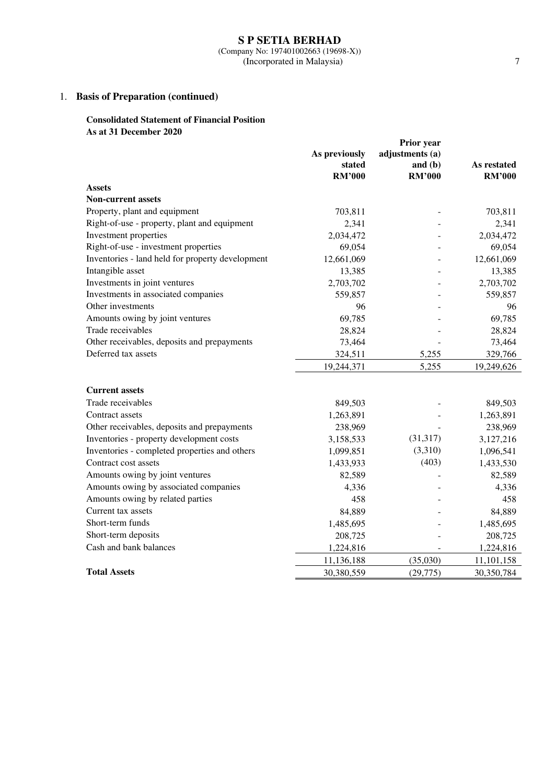#### **S P SETIA BERHAD** (Company No: 197401002663 (19698-X)) (Incorporated in Malaysia) 7

## 1. **Basis of Preparation (continued)**

### **Consolidated Statement of Financial Position As at 31 December 2020**

|                                                  |                         | Prior year                 |                              |
|--------------------------------------------------|-------------------------|----------------------------|------------------------------|
|                                                  | As previously           | adjustments (a)            |                              |
|                                                  | stated<br><b>RM'000</b> | and $(b)$<br><b>RM'000</b> | As restated<br><b>RM'000</b> |
| <b>Assets</b>                                    |                         |                            |                              |
| <b>Non-current assets</b>                        |                         |                            |                              |
| Property, plant and equipment                    | 703,811                 |                            | 703,811                      |
| Right-of-use - property, plant and equipment     | 2,341                   |                            | 2,341                        |
| Investment properties                            | 2,034,472               |                            | 2,034,472                    |
| Right-of-use - investment properties             | 69,054                  |                            | 69,054                       |
| Inventories - land held for property development | 12,661,069              |                            | 12,661,069                   |
| Intangible asset                                 | 13,385                  |                            | 13,385                       |
| Investments in joint ventures                    | 2,703,702               |                            | 2,703,702                    |
| Investments in associated companies              | 559,857                 |                            | 559,857                      |
| Other investments                                | 96                      |                            | 96                           |
| Amounts owing by joint ventures                  | 69,785                  |                            | 69,785                       |
| Trade receivables                                | 28,824                  |                            | 28,824                       |
| Other receivables, deposits and prepayments      | 73,464                  |                            | 73,464                       |
| Deferred tax assets                              | 324,511                 | 5,255                      | 329,766                      |
|                                                  | 19,244,371              | 5,255                      | 19,249,626                   |
|                                                  |                         |                            |                              |
| <b>Current assets</b>                            |                         |                            |                              |
| Trade receivables                                | 849,503                 |                            | 849,503                      |
| Contract assets                                  | 1,263,891               |                            | 1,263,891                    |
| Other receivables, deposits and prepayments      | 238,969                 |                            | 238,969                      |
| Inventories - property development costs         | 3,158,533               | (31,317)                   | 3,127,216                    |
| Inventories - completed properties and others    | 1,099,851               | (3,310)                    | 1,096,541                    |
| Contract cost assets                             | 1,433,933               | (403)                      | 1,433,530                    |
| Amounts owing by joint ventures                  | 82,589                  |                            | 82,589                       |
| Amounts owing by associated companies            | 4,336                   |                            | 4,336                        |
| Amounts owing by related parties                 | 458                     |                            | 458                          |
| Current tax assets                               | 84,889                  |                            | 84,889                       |
| Short-term funds                                 | 1,485,695               |                            | 1,485,695                    |
| Short-term deposits                              | 208,725                 |                            | 208,725                      |
| Cash and bank balances                           | 1,224,816               |                            | 1,224,816                    |
|                                                  | 11,136,188              | (35,030)                   | 11,101,158                   |
| <b>Total Assets</b>                              | 30,380,559              | (29, 775)                  | 30,350,784                   |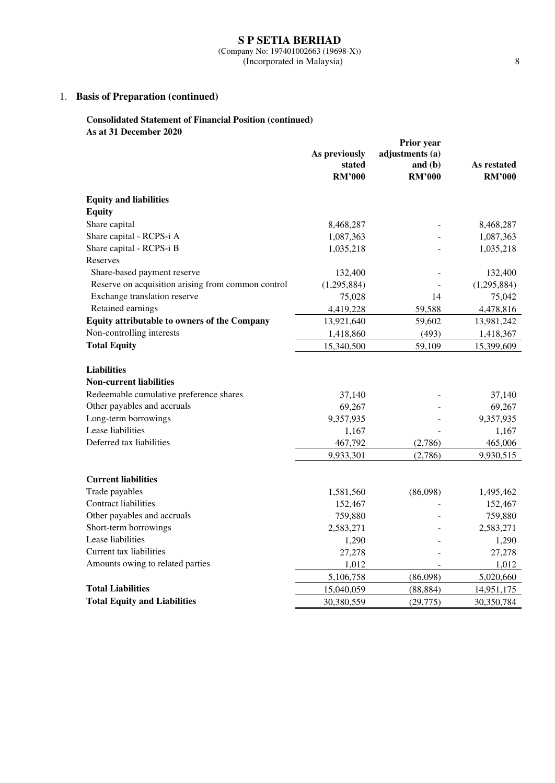(Company No: 197401002663 (19698-X)) (Incorporated in Malaysia) 8

## 1. **Basis of Preparation (continued)**

### **Consolidated Statement of Financial Position (continued) As at 31 December 2020**

|                                                    | Prior year           |                 |                      |
|----------------------------------------------------|----------------------|-----------------|----------------------|
|                                                    | As previously        | adjustments (a) |                      |
|                                                    | stated               | and $(b)$       | As restated          |
|                                                    | <b>RM'000</b>        | <b>RM'000</b>   | <b>RM'000</b>        |
| <b>Equity and liabilities</b>                      |                      |                 |                      |
| <b>Equity</b>                                      |                      |                 |                      |
| Share capital                                      | 8,468,287            |                 | 8,468,287            |
| Share capital - RCPS-i A                           | 1,087,363            |                 | 1,087,363            |
| Share capital - RCPS-i B                           | 1,035,218            |                 | 1,035,218            |
| Reserves                                           |                      |                 |                      |
| Share-based payment reserve                        | 132,400              |                 | 132,400              |
| Reserve on acquisition arising from common control | (1,295,884)          |                 | (1,295,884)          |
| Exchange translation reserve                       | 75,028               | 14              | 75,042               |
| Retained earnings                                  | 4,419,228            | 59,588          | 4,478,816            |
| Equity attributable to owners of the Company       | 13,921,640           | 59,602          | 13,981,242           |
| Non-controlling interests                          | 1,418,860            | (493)           | 1,418,367            |
| <b>Total Equity</b>                                | 15,340,500           | 59,109          | 15,399,609           |
| <b>Liabilities</b>                                 |                      |                 |                      |
| <b>Non-current liabilities</b>                     |                      |                 |                      |
| Redeemable cumulative preference shares            | 37,140               |                 | 37,140               |
| Other payables and accruals                        | 69,267               |                 | 69,267               |
| Long-term borrowings                               | 9,357,935            |                 | 9,357,935            |
| Lease liabilities                                  | 1,167                |                 | 1,167                |
| Deferred tax liabilities                           | 467,792              | (2,786)         | 465,006              |
|                                                    | 9,933,301            | (2,786)         | 9,930,515            |
| <b>Current liabilities</b>                         |                      |                 |                      |
| Trade payables                                     |                      | (86,098)        |                      |
| <b>Contract liabilities</b>                        | 1,581,560<br>152,467 |                 | 1,495,462<br>152,467 |
| Other payables and accruals                        | 759,880              |                 | 759,880              |
| Short-term borrowings                              | 2,583,271            |                 | 2,583,271            |
| Lease liabilities                                  | 1,290                |                 | 1,290                |
| Current tax liabilities                            | 27,278               |                 |                      |
| Amounts owing to related parties                   | 1,012                |                 | 27,278<br>1,012      |
|                                                    | 5,106,758            | (86,098)        | 5,020,660            |
| <b>Total Liabilities</b>                           | 15,040,059           | (88, 884)       | 14,951,175           |
| <b>Total Equity and Liabilities</b>                | 30,380,559           | (29,775)        | 30,350,784           |
|                                                    |                      |                 |                      |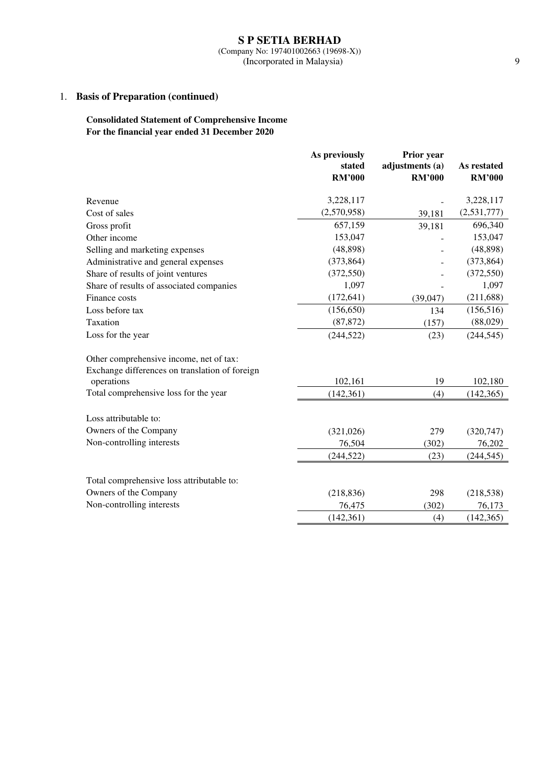#### **S P SETIA BERHAD** (Company No: 197401002663 (19698-X)) (Incorporated in Malaysia) 9

## 1. **Basis of Preparation (continued)**

## **Consolidated Statement of Comprehensive Income For the financial year ended 31 December 2020**

|                                                | As previously           | Prior year                       |                              |  |
|------------------------------------------------|-------------------------|----------------------------------|------------------------------|--|
|                                                | stated<br><b>RM'000</b> | adjustments (a)<br><b>RM'000</b> | As restated<br><b>RM'000</b> |  |
|                                                |                         |                                  |                              |  |
| Revenue                                        | 3,228,117               |                                  | 3,228,117                    |  |
| Cost of sales                                  | (2,570,958)             | 39,181                           | (2,531,777)                  |  |
| Gross profit                                   | 657,159                 | 39,181                           | 696,340                      |  |
| Other income                                   | 153,047                 |                                  | 153,047                      |  |
| Selling and marketing expenses                 | (48, 898)               |                                  | (48, 898)                    |  |
| Administrative and general expenses            | (373, 864)              |                                  | (373, 864)                   |  |
| Share of results of joint ventures             | (372, 550)              |                                  | (372, 550)                   |  |
| Share of results of associated companies       | 1,097                   |                                  | 1,097                        |  |
| Finance costs                                  | (172, 641)              | (39,047)                         | (211, 688)                   |  |
| Loss before tax                                | (156, 650)              | 134                              | (156, 516)                   |  |
| Taxation                                       | (87, 872)               | (157)                            | (88,029)                     |  |
| Loss for the year                              | (244, 522)              | (23)                             | (244, 545)                   |  |
| Other comprehensive income, net of tax:        |                         |                                  |                              |  |
| Exchange differences on translation of foreign |                         |                                  |                              |  |
| operations                                     | 102,161                 | 19                               | 102,180                      |  |
| Total comprehensive loss for the year          | (142, 361)              | (4)                              | (142, 365)                   |  |
| Loss attributable to:                          |                         |                                  |                              |  |
| Owners of the Company                          | (321,026)               | 279                              | (320, 747)                   |  |
| Non-controlling interests                      | 76,504                  | (302)                            | 76,202                       |  |
|                                                | (244, 522)              | (23)                             | (244, 545)                   |  |
|                                                |                         |                                  |                              |  |
| Total comprehensive loss attributable to:      |                         |                                  |                              |  |
| Owners of the Company                          | (218, 836)              | 298                              | (218, 538)                   |  |
| Non-controlling interests                      | 76,475                  | (302)                            | 76,173                       |  |
|                                                | (142, 361)              | (4)                              | (142, 365)                   |  |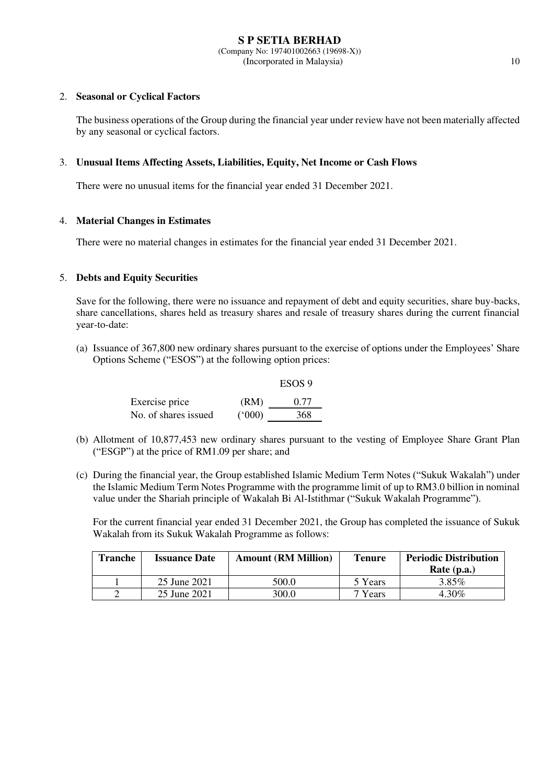### 2. **Seasonal or Cyclical Factors**

The business operations of the Group during the financial year under review have not been materially affected by any seasonal or cyclical factors.

### 3. **Unusual Items Affecting Assets, Liabilities, Equity, Net Income or Cash Flows**

There were no unusual items for the financial year ended 31 December 2021.

### 4. **Material Changes in Estimates**

There were no material changes in estimates for the financial year ended 31 December 2021.

### 5. **Debts and Equity Securities**

Save for the following, there were no issuance and repayment of debt and equity securities, share buy-backs, share cancellations, shares held as treasury shares and resale of treasury shares during the current financial year-to-date:

(a) Issuance of 367,800 new ordinary shares pursuant to the exercise of options under the Employees' Share Options Scheme ("ESOS") at the following option prices:

 $E$ 

|                      |       | ESOS 9 |
|----------------------|-------|--------|
| Exercise price       | (RM)  | 0.77   |
| No. of shares issued | (000) | 368    |

- (b) Allotment of 10,877,453 new ordinary shares pursuant to the vesting of Employee Share Grant Plan ("ESGP") at the price of RM1.09 per share; and
- (c) During the financial year, the Group established Islamic Medium Term Notes ("Sukuk Wakalah") under the Islamic Medium Term Notes Programme with the programme limit of up to RM3.0 billion in nominal value under the Shariah principle of Wakalah Bi Al-Istithmar ("Sukuk Wakalah Programme").

For the current financial year ended 31 December 2021, the Group has completed the issuance of Sukuk Wakalah from its Sukuk Wakalah Programme as follows:

| <b>Tranche</b> | <b>Issuance Date</b> | <b>Amount (RM Million)</b> | <b>Tenure</b> | <b>Periodic Distribution</b><br>Rate $(p.a.)$ |
|----------------|----------------------|----------------------------|---------------|-----------------------------------------------|
|                | 25 June 2021         | 500.0                      | 5 Years       | 3.85%                                         |
|                | 25 June 2021         | 300.0                      | 7 Years       | 4.30%                                         |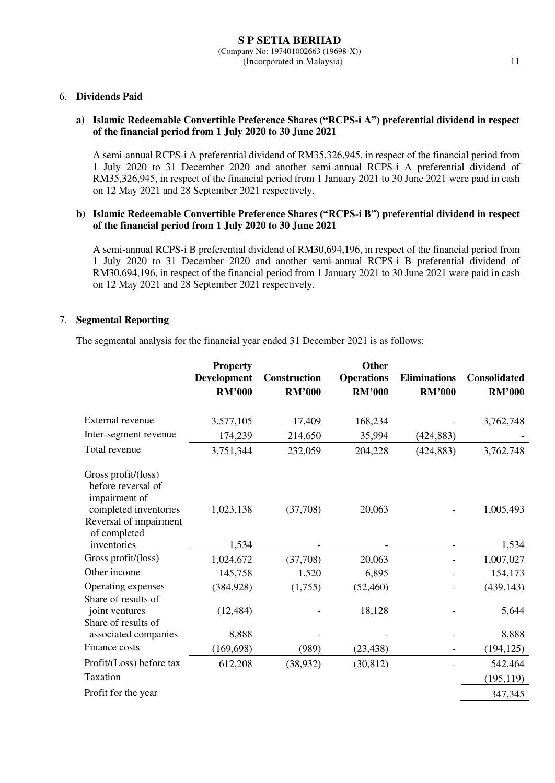#### 6. **Dividends Paid**

### **a) Islamic Redeemable Convertible Preference Shares ("RCPS-i A") preferential dividend in respect of the financial period from 1 July 2020 to 30 June 2021**

A semi-annual RCPS-i A preferential dividend of RM35,326,945, in respect of the financial period from 1 July 2020 to 31 December 2020 and another semi-annual RCPS-i A preferential dividend of RM35,326,945, in respect of the financial period from 1 January 2021 to 30 June 2021 were paid in cash on 12 May 2021 and 28 September 2021 respectively.

### **b) Islamic Redeemable Convertible Preference Shares ("RCPS-i B") preferential dividend in respect of the financial period from 1 July 2020 to 30 June 2021**

A semi-annual RCPS-i B preferential dividend of RM30,694,196, in respect of the financial period from 1 July 2020 to 31 December 2020 and another semi-annual RCPS-i B preferential dividend of RM30,694,196, in respect of the financial period from 1 January 2021 to 30 June 2021 were paid in cash on 12 May 2021 and 28 September 2021 respectively.

### 7. **Segmental Reporting**

The segmental analysis for the financial year ended 31 December 2021 is as follows:

| <b>Property</b><br><b>Development</b><br><b>RM'000</b> | Construction<br><b>RM'000</b> | Other<br><b>Operations</b><br><b>RM'000</b> | <b>Eliminations</b><br><b>RM'000</b> | <b>Consolidated</b><br><b>RM'000</b> |
|--------------------------------------------------------|-------------------------------|---------------------------------------------|--------------------------------------|--------------------------------------|
| 3,577,105                                              | 17,409                        | 168,234                                     |                                      | 3,762,748                            |
| 174,239                                                | 214,650                       | 35,994                                      | (424, 883)                           |                                      |
| 3,751,344                                              | 232,059                       | 204,228                                     | (424, 883)                           | 3,762,748                            |
| 1,023,138                                              | (37,708)                      | 20,063                                      |                                      | 1,005,493                            |
| 1,534                                                  |                               |                                             |                                      | 1,534                                |
| 1,024,672                                              | (37,708)                      | 20,063                                      |                                      | 1,007,027                            |
| 145,758                                                | 1,520                         | 6,895                                       |                                      | 154,173                              |
| (384, 928)                                             | (1,755)                       | (52, 460)                                   |                                      | (439, 143)                           |
| (12, 484)                                              |                               | 18,128                                      |                                      | 5,644                                |
| 8,888                                                  |                               |                                             |                                      | 8,888                                |
| (169, 698)                                             | (989)                         | (23, 438)                                   |                                      | (194, 125)                           |
| 612,208                                                | (38, 932)                     | (30, 812)                                   |                                      | 542,464                              |
|                                                        |                               |                                             |                                      | (195, 119)                           |
|                                                        |                               |                                             |                                      | 347,345                              |
|                                                        |                               |                                             |                                      |                                      |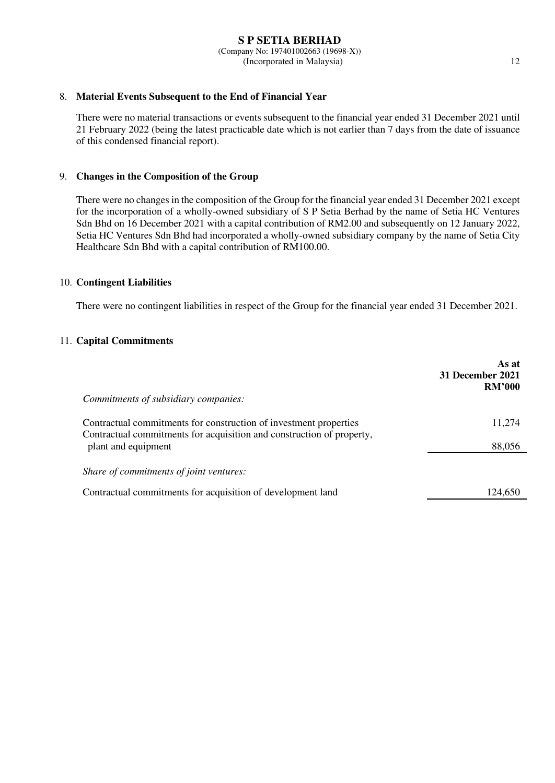### 8. **Material Events Subsequent to the End of Financial Year**

There were no material transactions or events subsequent to the financial year ended 31 December 2021 until 21 February 2022 (being the latest practicable date which is not earlier than 7 days from the date of issuance of this condensed financial report).

### 9. **Changes in the Composition of the Group**

There were no changes in the composition of the Group for the financial year ended 31 December 2021 except for the incorporation of a wholly-owned subsidiary of S P Setia Berhad by the name of Setia HC Ventures Sdn Bhd on 16 December 2021 with a capital contribution of RM2.00 and subsequently on 12 January 2022, Setia HC Ventures Sdn Bhd had incorporated a wholly-owned subsidiary company by the name of Setia City Healthcare Sdn Bhd with a capital contribution of RM100.00.

#### 10. **Contingent Liabilities**

There were no contingent liabilities in respect of the Group for the financial year ended 31 December 2021.

### 11. **Capital Commitments**

| Commitments of subsidiary companies:                                                                                                                              | As at<br><b>31 December 2021</b><br><b>RM'000</b> |
|-------------------------------------------------------------------------------------------------------------------------------------------------------------------|---------------------------------------------------|
| Contractual commitments for construction of investment properties<br>Contractual commitments for acquisition and construction of property,<br>plant and equipment | 11.274<br>88,056                                  |
| Share of commitments of joint ventures:<br>Contractual commitments for acquisition of development land                                                            | 124,650                                           |
|                                                                                                                                                                   |                                                   |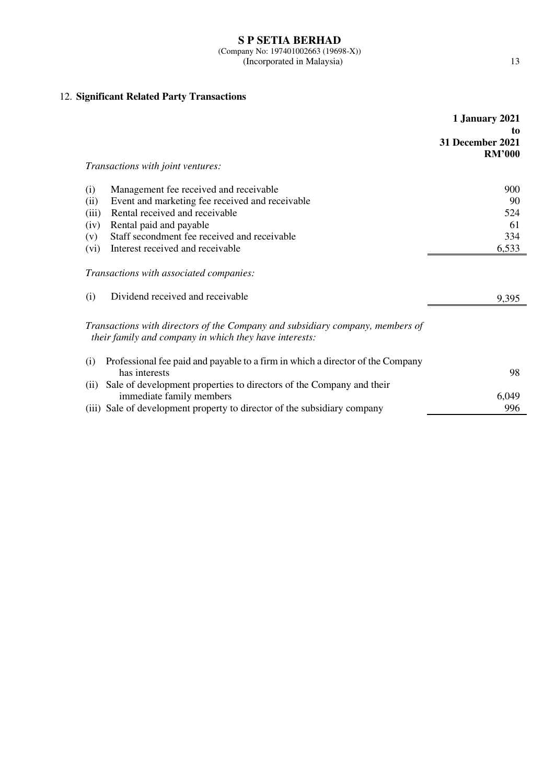# 12. **Significant Related Party Transactions**

|                                                                                                                                         | 1 January 2021<br>to              |
|-----------------------------------------------------------------------------------------------------------------------------------------|-----------------------------------|
|                                                                                                                                         | 31 December 2021<br><b>RM'000</b> |
| Transactions with joint ventures:                                                                                                       |                                   |
| Management fee received and receivable<br>(i)                                                                                           | 900                               |
| Event and marketing fee received and receivable<br>(ii)                                                                                 | 90                                |
| Rental received and receivable<br>(iii)                                                                                                 | 524                               |
| Rental paid and payable<br>(iv)                                                                                                         | 61                                |
| Staff secondment fee received and receivable<br>(v)                                                                                     | 334                               |
| Interest received and receivable<br>(vi)                                                                                                | 6,533                             |
| Transactions with associated companies:                                                                                                 |                                   |
| Dividend received and receivable<br>(i)                                                                                                 | 9,395                             |
| Transactions with directors of the Company and subsidiary company, members of<br>their family and company in which they have interests: |                                   |
| Professional fee paid and payable to a firm in which a director of the Company<br>(i)<br>has interests                                  | 98                                |
| Sale of development properties to directors of the Company and their<br>(ii)                                                            |                                   |
| immediate family members                                                                                                                | 6,049                             |
| (iii) Sale of development property to director of the subsidiary company                                                                | 996                               |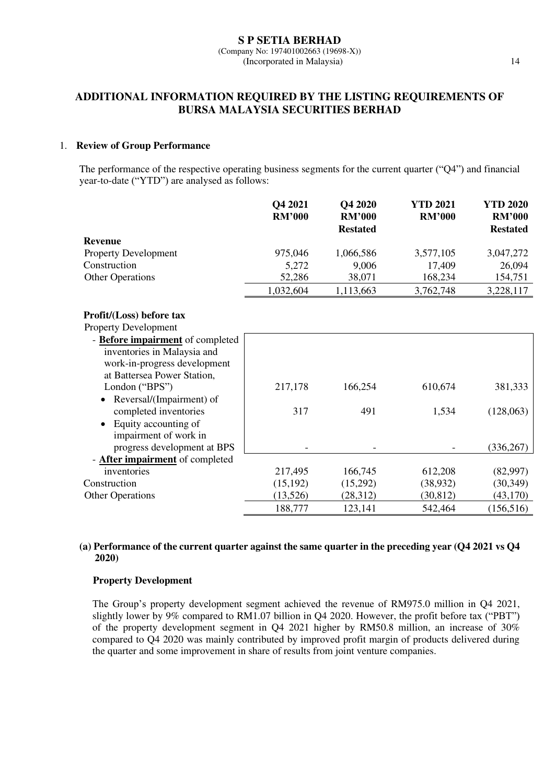# **ADDITIONAL INFORMATION REQUIRED BY THE LISTING REQUIREMENTS OF BURSA MALAYSIA SECURITIES BERHAD**

### 1. **Review of Group Performance**

The performance of the respective operating business segments for the current quarter ("Q4") and financial year-to-date ("YTD") are analysed as follows:

|                                        | Q4 2021<br><b>RM'000</b> | Q4 2020<br><b>RM'000</b><br><b>Restated</b> | <b>YTD 2021</b><br><b>RM'000</b> | <b>YTD 2020</b><br><b>RM'000</b><br><b>Restated</b> |
|----------------------------------------|--------------------------|---------------------------------------------|----------------------------------|-----------------------------------------------------|
| <b>Revenue</b>                         |                          |                                             |                                  |                                                     |
| <b>Property Development</b>            | 975,046                  | 1,066,586                                   | 3,577,105                        | 3,047,272                                           |
| Construction                           | 5,272                    | 9,006                                       | 17,409                           | 26,094                                              |
| <b>Other Operations</b>                | 52,286                   | 38,071                                      | 168,234                          | 154,751                                             |
|                                        | 1,032,604                | 1,113,663                                   | 3,762,748                        | 3,228,117                                           |
| Profit/(Loss) before tax               |                          |                                             |                                  |                                                     |
| Property Development                   |                          |                                             |                                  |                                                     |
| - Before impairment of completed       |                          |                                             |                                  |                                                     |
| inventories in Malaysia and            |                          |                                             |                                  |                                                     |
| work-in-progress development           |                          |                                             |                                  |                                                     |
| at Battersea Power Station,            |                          |                                             |                                  |                                                     |
| London ("BPS")                         | 217,178                  | 166,254                                     | 610,674                          | 381,333                                             |
| Reversal/(Impairment) of<br>$\bullet$  |                          |                                             |                                  |                                                     |
| completed inventories                  | 317                      | 491                                         | 1,534                            | (128,063)                                           |
| Equity accounting of<br>$\bullet$      |                          |                                             |                                  |                                                     |
| impairment of work in                  |                          |                                             |                                  |                                                     |
| progress development at BPS            |                          |                                             |                                  | (336, 267)                                          |
| - <b>After impairment</b> of completed |                          |                                             |                                  |                                                     |
| inventories                            | 217,495                  | 166,745                                     | 612,208                          | (82,997)                                            |
| Construction                           | (15, 192)                | (15,292)                                    | (38, 932)                        | (30, 349)                                           |
| <b>Other Operations</b>                | (13,526)                 | (28,312)                                    | (30, 812)                        | (43,170)                                            |
|                                        | 188,777                  | 123,141                                     | 542,464                          | (156, 516)                                          |

### **(a) Performance of the current quarter against the same quarter in the preceding year (Q4 2021 vs Q4 2020)**

### **Property Development**

The Group's property development segment achieved the revenue of RM975.0 million in Q4 2021, slightly lower by 9% compared to RM1.07 billion in Q4 2020. However, the profit before tax ("PBT") of the property development segment in Q4 2021 higher by RM50.8 million, an increase of 30% compared to Q4 2020 was mainly contributed by improved profit margin of products delivered during the quarter and some improvement in share of results from joint venture companies.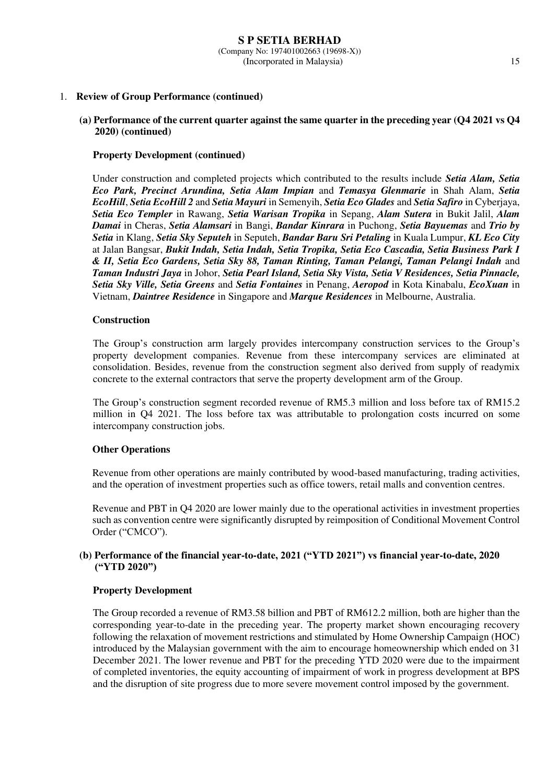#### 1. **Review of Group Performance (continued)**

#### **(a) Performance of the current quarter against the same quarter in the preceding year (Q4 2021 vs Q4 2020) (continued)**

#### **Property Development (continued)**

Under construction and completed projects which contributed to the results include *Setia Alam, Setia Eco Park, Precinct Arundina, Setia Alam Impian* and *Temasya Glenmarie* in Shah Alam, *Setia EcoHill*, *Setia EcoHill 2* and *Setia Mayuri* in Semenyih, *Setia Eco Glades* and *Setia Safiro* in Cyberjaya, *Setia Eco Templer* in Rawang, *Setia Warisan Tropika* in Sepang, *Alam Sutera* in Bukit Jalil, *Alam Damai* in Cheras, *Setia Alamsari* in Bangi, *Bandar Kinrara* in Puchong, *Setia Bayuemas* and *Trio by Setia* in Klang, *Setia Sky Seputeh* in Seputeh, *Bandar Baru Sri Petaling* in Kuala Lumpur, *KL Eco City* at Jalan Bangsar, *Bukit Indah, Setia Indah, Setia Tropika, Setia Eco Cascadia, Setia Business Park I & II, Setia Eco Gardens, Setia Sky 88, Taman Rinting, Taman Pelangi, Taman Pelangi Indah* and *Taman Industri Jaya* in Johor, *Setia Pearl Island, Setia Sky Vista, Setia V Residences, Setia Pinnacle, Setia Sky Ville, Setia Greens* and *Setia Fontaines* in Penang, *Aeropod* in Kota Kinabalu, *EcoXuan* in Vietnam, *Daintree Residence* in Singapore and *Marque Residences* in Melbourne, Australia.

#### **Construction**

The Group's construction arm largely provides intercompany construction services to the Group's property development companies. Revenue from these intercompany services are eliminated at consolidation. Besides, revenue from the construction segment also derived from supply of readymix concrete to the external contractors that serve the property development arm of the Group.

The Group's construction segment recorded revenue of RM5.3 million and loss before tax of RM15.2 million in Q4 2021. The loss before tax was attributable to prolongation costs incurred on some intercompany construction jobs.

### **Other Operations**

Revenue from other operations are mainly contributed by wood-based manufacturing, trading activities, and the operation of investment properties such as office towers, retail malls and convention centres.

Revenue and PBT in Q4 2020 are lower mainly due to the operational activities in investment properties such as convention centre were significantly disrupted by reimposition of Conditional Movement Control Order ("CMCO").

### **(b) Performance of the financial year-to-date, 2021 ("YTD 2021") vs financial year-to-date, 2020 ("YTD 2020")**

#### **Property Development**

The Group recorded a revenue of RM3.58 billion and PBT of RM612.2 million, both are higher than the corresponding year-to-date in the preceding year. The property market shown encouraging recovery following the relaxation of movement restrictions and stimulated by Home Ownership Campaign (HOC) introduced by the Malaysian government with the aim to encourage homeownership which ended on 31 December 2021. The lower revenue and PBT for the preceding YTD 2020 were due to the impairment of completed inventories, the equity accounting of impairment of work in progress development at BPS and the disruption of site progress due to more severe movement control imposed by the government.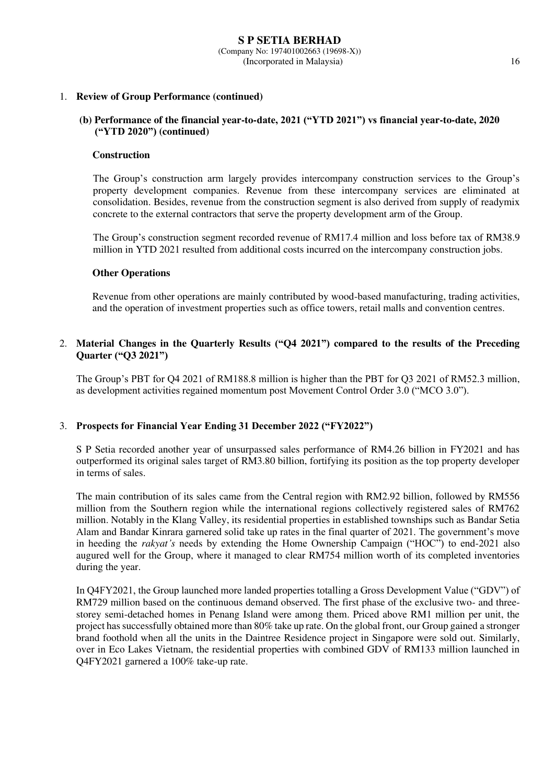#### 1. **Review of Group Performance (continued)**

### **(b) Performance of the financial year-to-date, 2021 ("YTD 2021") vs financial year-to-date, 2020 ("YTD 2020") (continued)**

#### **Construction**

The Group's construction arm largely provides intercompany construction services to the Group's property development companies. Revenue from these intercompany services are eliminated at consolidation. Besides, revenue from the construction segment is also derived from supply of readymix concrete to the external contractors that serve the property development arm of the Group.

The Group's construction segment recorded revenue of RM17.4 million and loss before tax of RM38.9 million in YTD 2021 resulted from additional costs incurred on the intercompany construction jobs.

#### **Other Operations**

Revenue from other operations are mainly contributed by wood-based manufacturing, trading activities, and the operation of investment properties such as office towers, retail malls and convention centres.

### 2. **Material Changes in the Quarterly Results ("Q4 2021") compared to the results of the Preceding Quarter ("Q3 2021")**

The Group's PBT for Q4 2021 of RM188.8 million is higher than the PBT for Q3 2021 of RM52.3 million, as development activities regained momentum post Movement Control Order 3.0 ("MCO 3.0").

#### 3. **Prospects for Financial Year Ending 31 December 2022 ("FY2022")**

S P Setia recorded another year of unsurpassed sales performance of RM4.26 billion in FY2021 and has outperformed its original sales target of RM3.80 billion, fortifying its position as the top property developer in terms of sales.

The main contribution of its sales came from the Central region with RM2.92 billion, followed by RM556 million from the Southern region while the international regions collectively registered sales of RM762 million. Notably in the Klang Valley, its residential properties in established townships such as Bandar Setia Alam and Bandar Kinrara garnered solid take up rates in the final quarter of 2021. The government's move in heeding the *rakyat's* needs by extending the Home Ownership Campaign ("HOC") to end-2021 also augured well for the Group, where it managed to clear RM754 million worth of its completed inventories during the year.

In Q4FY2021, the Group launched more landed properties totalling a Gross Development Value ("GDV") of RM729 million based on the continuous demand observed. The first phase of the exclusive two- and threestorey semi-detached homes in Penang Island were among them. Priced above RM1 million per unit, the project has successfully obtained more than 80% take up rate. On the global front, our Group gained a stronger brand foothold when all the units in the Daintree Residence project in Singapore were sold out. Similarly, over in Eco Lakes Vietnam, the residential properties with combined GDV of RM133 million launched in Q4FY2021 garnered a 100% take-up rate.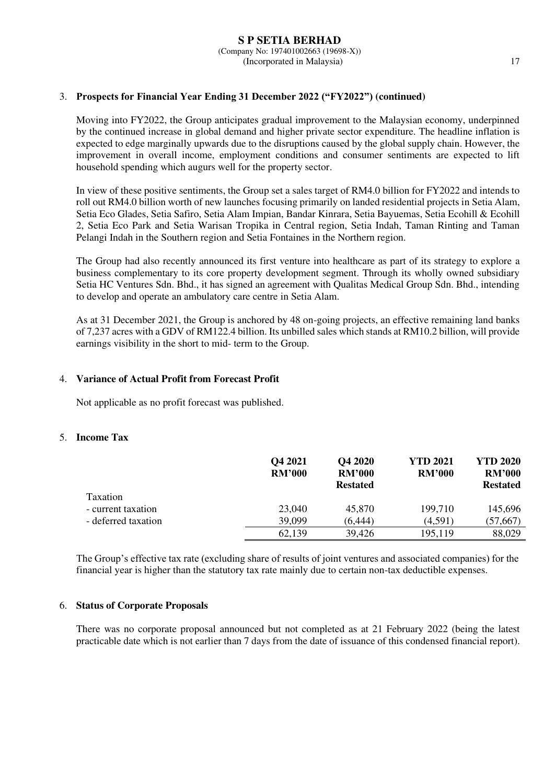### 3. **Prospects for Financial Year Ending 31 December 2022 ("FY2022") (continued)**

Moving into FY2022, the Group anticipates gradual improvement to the Malaysian economy, underpinned by the continued increase in global demand and higher private sector expenditure. The headline inflation is expected to edge marginally upwards due to the disruptions caused by the global supply chain. However, the improvement in overall income, employment conditions and consumer sentiments are expected to lift household spending which augurs well for the property sector.

In view of these positive sentiments, the Group set a sales target of RM4.0 billion for FY2022 and intends to roll out RM4.0 billion worth of new launches focusing primarily on landed residential projects in Setia Alam, Setia Eco Glades, Setia Safiro, Setia Alam Impian, Bandar Kinrara, Setia Bayuemas, Setia Ecohill & Ecohill 2, Setia Eco Park and Setia Warisan Tropika in Central region, Setia Indah, Taman Rinting and Taman Pelangi Indah in the Southern region and Setia Fontaines in the Northern region.

The Group had also recently announced its first venture into healthcare as part of its strategy to explore a business complementary to its core property development segment. Through its wholly owned subsidiary Setia HC Ventures Sdn. Bhd., it has signed an agreement with Qualitas Medical Group Sdn. Bhd., intending to develop and operate an ambulatory care centre in Setia Alam.

As at 31 December 2021, the Group is anchored by 48 on-going projects, an effective remaining land banks of 7,237 acres with a GDV of RM122.4 billion. Its unbilled sales which stands at RM10.2 billion, will provide earnings visibility in the short to mid- term to the Group.

#### 4. **Variance of Actual Profit from Forecast Profit**

Not applicable as no profit forecast was published.

#### 5. **Income Tax**

|                     | Q4 2021<br><b>RM'000</b> | Q4 2020<br><b>RM'000</b><br><b>Restated</b> | <b>YTD 2021</b><br><b>RM'000</b> | <b>YTD 2020</b><br><b>RM'000</b><br><b>Restated</b> |
|---------------------|--------------------------|---------------------------------------------|----------------------------------|-----------------------------------------------------|
| Taxation            |                          |                                             |                                  |                                                     |
| - current taxation  | 23,040                   | 45,870                                      | 199,710                          | 145,696                                             |
| - deferred taxation | 39,099                   | (6,444)                                     | (4,591)                          | (57, 667)                                           |
|                     | 62,139                   | 39,426                                      | 195,119                          | 88,029                                              |

The Group's effective tax rate (excluding share of results of joint ventures and associated companies) for the financial year is higher than the statutory tax rate mainly due to certain non-tax deductible expenses.

### 6. **Status of Corporate Proposals**

There was no corporate proposal announced but not completed as at 21 February 2022 (being the latest practicable date which is not earlier than 7 days from the date of issuance of this condensed financial report).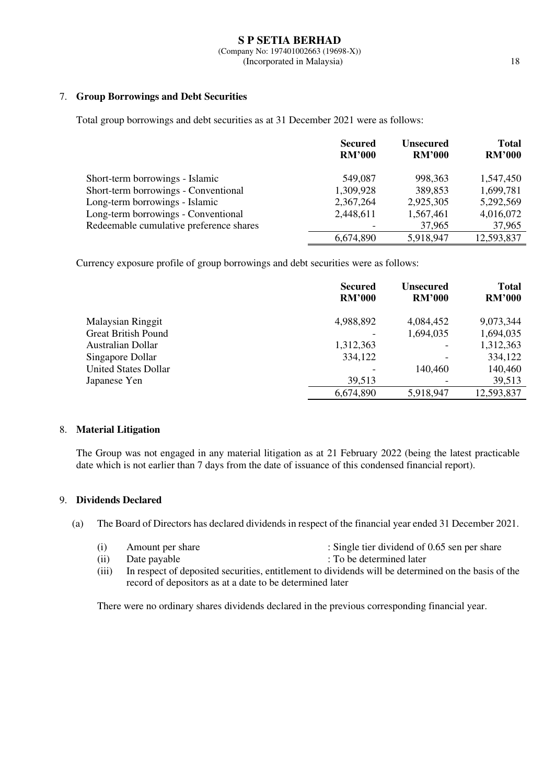### 7. **Group Borrowings and Debt Securities**

Total group borrowings and debt securities as at 31 December 2021 were as follows:

|                                         | <b>Secured</b><br><b>RM'000</b> | <b>Unsecured</b><br><b>RM'000</b> | <b>Total</b><br><b>RM'000</b> |
|-----------------------------------------|---------------------------------|-----------------------------------|-------------------------------|
| Short-term borrowings - Islamic         | 549,087                         | 998, 363                          | 1,547,450                     |
| Short-term borrowings - Conventional    | 1,309,928                       | 389,853                           | 1,699,781                     |
| Long-term borrowings - Islamic          | 2,367,264                       | 2,925,305                         | 5,292,569                     |
| Long-term borrowings - Conventional     | 2,448,611                       | 1,567,461                         | 4,016,072                     |
| Redeemable cumulative preference shares |                                 | 37,965                            | 37,965                        |
|                                         | 6,674,890                       | 5,918,947                         | 12,593,837                    |

Currency exposure profile of group borrowings and debt securities were as follows:

|                            | <b>Secured</b><br><b>RM'000</b> | <b>Unsecured</b><br><b>RM'000</b> | <b>Total</b><br><b>RM'000</b> |
|----------------------------|---------------------------------|-----------------------------------|-------------------------------|
| <b>Malaysian Ringgit</b>   | 4,988,892                       | 4,084,452                         | 9,073,344                     |
| <b>Great British Pound</b> |                                 | 1,694,035                         | 1,694,035                     |
| Australian Dollar          | 1,312,363                       |                                   | 1,312,363                     |
| Singapore Dollar           | 334,122                         |                                   | 334,122                       |
| United States Dollar       |                                 | 140,460                           | 140,460                       |
| Japanese Yen               | 39,513                          |                                   | 39,513                        |
|                            | 6,674,890                       | 5,918,947                         | 12,593,837                    |

### 8. **Material Litigation**

The Group was not engaged in any material litigation as at 21 February 2022 (being the latest practicable date which is not earlier than 7 days from the date of issuance of this condensed financial report).

### 9. **Dividends Declared**

(a) The Board of Directors has declared dividends in respect of the financial year ended 31 December 2021.

- (i) Amount per share : Single tier dividend of 0.65 sen per share
	-
- (ii) Date payable : To be determined later
	-
- (iii) In respect of deposited securities, entitlement to dividends will be determined on the basis of the record of depositors as at a date to be determined later

There were no ordinary shares dividends declared in the previous corresponding financial year.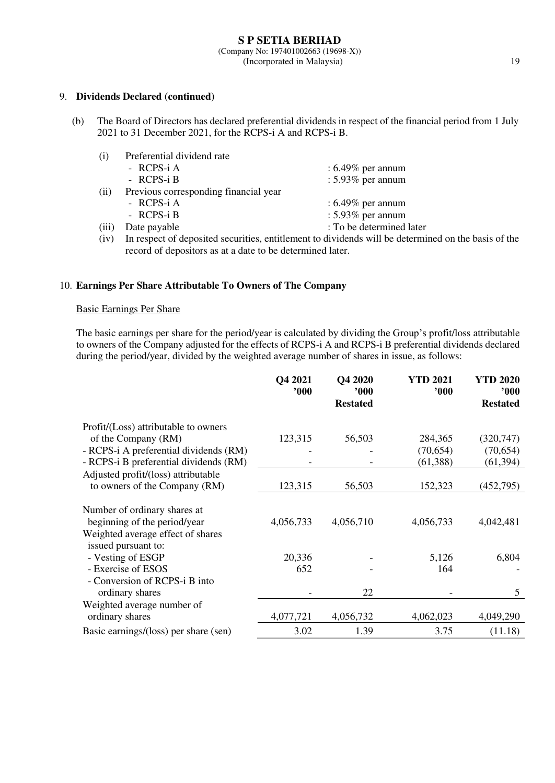#### 9. **Dividends Declared (continued)**

(b) The Board of Directors has declared preferential dividends in respect of the financial period from 1 July 2021 to 31 December 2021, for the RCPS-i A and RCPS-i B.

| (i)   | Preferential dividend rate            |                                                                                                                         |
|-------|---------------------------------------|-------------------------------------------------------------------------------------------------------------------------|
|       | - RCPS-i A                            | $: 6.49\%$ per annum                                                                                                    |
|       | - RCPS-i B                            | : $5.93\%$ per annum                                                                                                    |
| (ii)  | Previous corresponding financial year |                                                                                                                         |
|       | - RCPS-i A                            | $: 6.49\%$ per annum                                                                                                    |
|       | - RCPS-i B                            | : $5.93\%$ per annum                                                                                                    |
| (iii) | Date payable                          | : To be determined later                                                                                                |
|       | $\alpha \sim 1$                       | $\overline{a}$ , and $\overline{a}$ , and $\overline{a}$ , and $\overline{a}$ , and $\overline{a}$ , and $\overline{a}$ |

(iv) In respect of deposited securities, entitlement to dividends will be determined on the basis of the record of depositors as at a date to be determined later.

#### 10. **Earnings Per Share Attributable To Owners of The Company**

### Basic Earnings Per Share

The basic earnings per share for the period/year is calculated by dividing the Group's profit/loss attributable to owners of the Company adjusted for the effects of RCPS-i A and RCPS-i B preferential dividends declared during the period/year, divided by the weighted average number of shares in issue, as follows:

|                                        | Q4 2021<br>000' | Q4 2020<br>$900^\circ$ | <b>YTD 2021</b><br>000 | <b>YTD 2020</b><br>900 |
|----------------------------------------|-----------------|------------------------|------------------------|------------------------|
|                                        |                 | <b>Restated</b>        |                        | <b>Restated</b>        |
| Profit/(Loss) attributable to owners   |                 |                        |                        |                        |
| of the Company (RM)                    | 123,315         | 56,503                 | 284,365                | (320, 747)             |
| - RCPS-i A preferential dividends (RM) |                 |                        | (70,654)               | (70, 654)              |
| - RCPS-i B preferential dividends (RM) |                 |                        | (61, 388)              | (61, 394)              |
| Adjusted profit/(loss) attributable    |                 |                        |                        |                        |
| to owners of the Company (RM)          | 123,315         | 56,503                 | 152,323                | (452, 795)             |
| Number of ordinary shares at           |                 |                        |                        |                        |
| beginning of the period/year           | 4,056,733       | 4,056,710              | 4,056,733              | 4,042,481              |
| Weighted average effect of shares      |                 |                        |                        |                        |
| issued pursuant to:                    |                 |                        |                        |                        |
| - Vesting of ESGP                      | 20,336          |                        | 5,126                  | 6,804                  |
| - Exercise of ESOS                     | 652             |                        | 164                    |                        |
| - Conversion of RCPS-i B into          |                 |                        |                        |                        |
| ordinary shares                        |                 | 22                     |                        | 5                      |
| Weighted average number of             |                 |                        |                        |                        |
| ordinary shares                        | 4,077,721       | 4,056,732              | 4,062,023              | 4,049,290              |
| Basic earnings/(loss) per share (sen)  | 3.02            | 1.39                   | 3.75                   | (11.18)                |